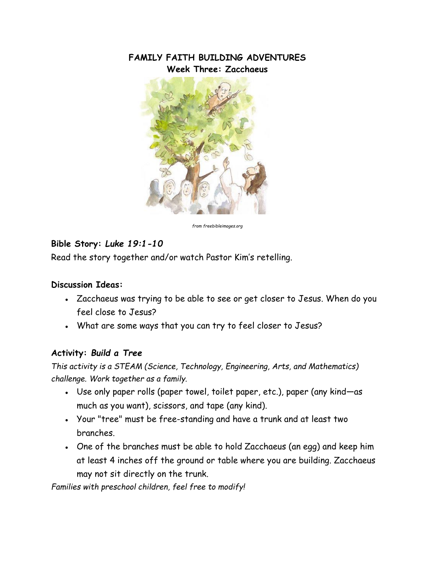# **FAMILY FAITH BUILDING ADVENTURES Week Three: Zacchaeus**



*from freebibleimages.org*

## **Bible Story:** *Luke 19:1-10*

Read the story together and/or watch Pastor Kim's retelling.

#### **Discussion Ideas:**

- Zacchaeus was trying to be able to see or get closer to Jesus. When do you feel close to Jesus?
- What are some ways that you can try to feel closer to Jesus?

### **Activity:** *Build a Tree*

*This activity is a STEAM (Science, Technology, Engineering, Arts, and Mathematics) challenge. Work together as a family.*

- Use only paper rolls (paper towel, toilet paper, etc.), paper (any kind—as much as you want), scissors, and tape (any kind).
- Your "tree" must be free-standing and have a trunk and at least two branches.
- One of the branches must be able to hold Zacchaeus (an egg) and keep him at least 4 inches off the ground or table where you are building. Zacchaeus may not sit directly on the trunk.

*Families with preschool children, feel free to modify!*